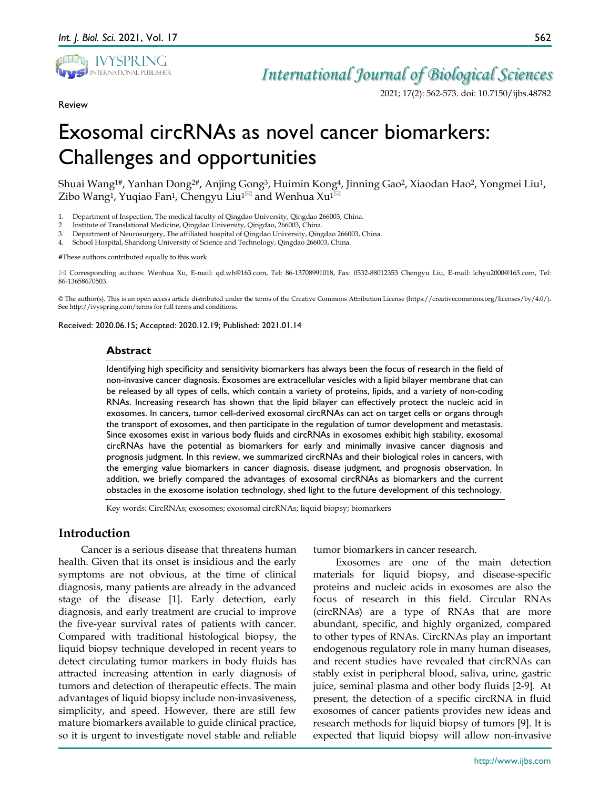

Review

## *International Journal of Biological Sciences*

2021; 17(2): 562-573. doi: 10.7150/ijbs.48782

# Exosomal circRNAs as novel cancer biomarkers: Challenges and opportunities

Shuai Wang1#, Yanhan Dong2#, Anjing Gong3, Huimin Kong4, Jinning Gao2, Xiaodan Hao2, Yongmei Liu1, Zibo Wang<sup>1</sup>, Yuqiao Fan<sup>1</sup>, Chengyu Liu<sup>1 $\boxtimes$ </sup> and Wenhua Xu<sup>1 $\boxtimes$ </sup>

- 1. Department of Inspection, The medical faculty of Qingdao University, Qingdao 266003, China.
- 2. Institute of Translational Medicine, Qingdao University, Qingdao, 266003, China.
- 3. Department of Neurosurgery, The affiliated hospital of Qingdao University, Qingdao 266003, China.
- 4. School Hospital, Shandong University of Science and Technology, Qingdao 266003, China.

#These authors contributed equally to this work.

 Corresponding authors: Wenhua Xu, E-mail: qd.wh@163.com, Tel: 86-13708991018, Fax: 0532-88012353 Chengyu Liu, E-mail: lchyu2000@163.com, Tel: 86-13658670503.

© The author(s). This is an open access article distributed under the terms of the Creative Commons Attribution License (https://creativecommons.org/licenses/by/4.0/). See http://ivyspring.com/terms for full terms and conditions.

Received: 2020.06.15; Accepted: 2020.12.19; Published: 2021.01.14

#### **Abstract**

Identifying high specificity and sensitivity biomarkers has always been the focus of research in the field of non-invasive cancer diagnosis. Exosomes are extracellular vesicles with a lipid bilayer membrane that can be released by all types of cells, which contain a variety of proteins, lipids, and a variety of non-coding RNAs. Increasing research has shown that the lipid bilayer can effectively protect the nucleic acid in exosomes. In cancers, tumor cell-derived exosomal circRNAs can act on target cells or organs through the transport of exosomes, and then participate in the regulation of tumor development and metastasis. Since exosomes exist in various body fluids and circRNAs in exosomes exhibit high stability, exosomal circRNAs have the potential as biomarkers for early and minimally invasive cancer diagnosis and prognosis judgment. In this review, we summarized circRNAs and their biological roles in cancers, with the emerging value biomarkers in cancer diagnosis, disease judgment, and prognosis observation. In addition, we briefly compared the advantages of exosomal circRNAs as biomarkers and the current obstacles in the exosome isolation technology, shed light to the future development of this technology.

Key words: CircRNAs; exosomes; exosomal circRNAs; liquid biopsy; biomarkers

## **Introduction**

Cancer is a serious disease that threatens human health. Given that its onset is insidious and the early symptoms are not obvious, at the time of clinical diagnosis, many patients are already in the advanced stage of the disease [1]. Early detection, early diagnosis, and early treatment are crucial to improve the five-year survival rates of patients with cancer. Compared with traditional histological biopsy, the liquid biopsy technique developed in recent years to detect circulating tumor markers in body fluids has attracted increasing attention in early diagnosis of tumors and detection of therapeutic effects. The main advantages of liquid biopsy include non-invasiveness, simplicity, and speed. However, there are still few mature biomarkers available to guide clinical practice, so it is urgent to investigate novel stable and reliable

tumor biomarkers in cancer research.

Exosomes are one of the main detection materials for liquid biopsy, and disease-specific proteins and nucleic acids in exosomes are also the focus of research in this field. Circular RNAs (circRNAs) are a type of RNAs that are more abundant, specific, and highly organized, compared to other types of RNAs. CircRNAs play an important endogenous regulatory role in many human diseases, and recent studies have revealed that circRNAs can stably exist in peripheral blood, saliva, urine, gastric juice, seminal plasma and other body fluids [2-9]. At present, the detection of a specific circRNA in fluid exosomes of cancer patients provides new ideas and research methods for liquid biopsy of tumors [9]. It is expected that liquid biopsy will allow non-invasive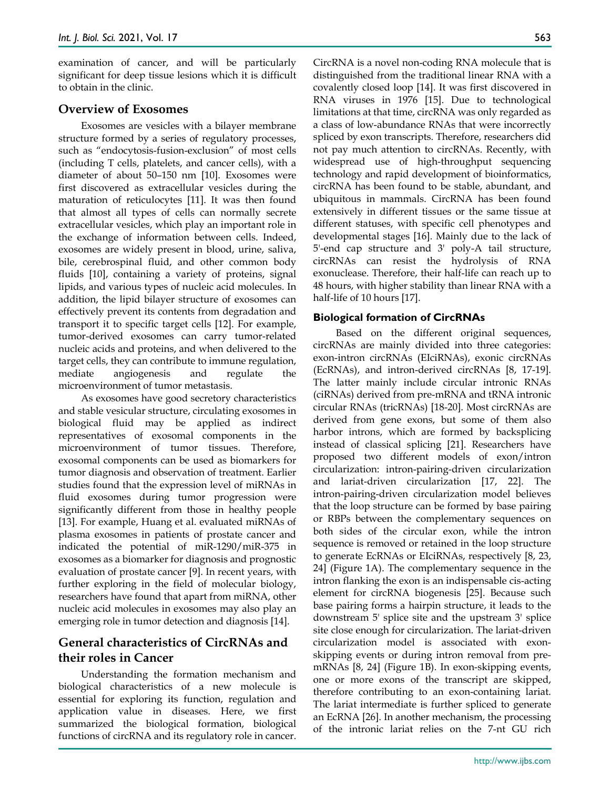examination of cancer, and will be particularly significant for deep tissue lesions which it is difficult to obtain in the clinic.

## **Overview of Exosomes**

Exosomes are vesicles with a bilayer membrane structure formed by a series of regulatory processes, such as "endocytosis-fusion-exclusion" of most cells (including T cells, platelets, and cancer cells), with a diameter of about 50–150 nm [10]. Exosomes were first discovered as extracellular vesicles during the maturation of reticulocytes [11]. It was then found that almost all types of cells can normally secrete extracellular vesicles, which play an important role in the exchange of information between cells. Indeed, exosomes are widely present in blood, urine, saliva, bile, cerebrospinal fluid, and other common body fluids [10], containing a variety of proteins, signal lipids, and various types of nucleic acid molecules. In addition, the lipid bilayer structure of exosomes can effectively prevent its contents from degradation and transport it to specific target cells [12]. For example, tumor-derived exosomes can carry tumor-related nucleic acids and proteins, and when delivered to the target cells, they can contribute to immune regulation, mediate angiogenesis and regulate the microenvironment of tumor metastasis.

As exosomes have good secretory characteristics and stable vesicular structure, circulating exosomes in biological fluid may be applied as indirect representatives of exosomal components in the microenvironment of tumor tissues. Therefore, exosomal components can be used as biomarkers for tumor diagnosis and observation of treatment. Earlier studies found that the expression level of miRNAs in fluid exosomes during tumor progression were significantly different from those in healthy people [13]. For example, Huang et al. evaluated miRNAs of plasma exosomes in patients of prostate cancer and indicated the potential of miR-1290/miR-375 in exosomes as a biomarker for diagnosis and prognostic evaluation of prostate cancer [9]. In recent years, with further exploring in the field of molecular biology, researchers have found that apart from miRNA, other nucleic acid molecules in exosomes may also play an emerging role in tumor detection and diagnosis [14].

## **General characteristics of CircRNAs and their roles in Cancer**

Understanding the formation mechanism and biological characteristics of a new molecule is essential for exploring its function, regulation and application value in diseases. Here, we first summarized the biological formation, biological functions of circRNA and its regulatory role in cancer.

CircRNA is a novel non-coding RNA molecule that is distinguished from the traditional linear RNA with a covalently closed loop [14]. It was first discovered in RNA viruses in 1976 [15]. Due to technological limitations at that time, circRNA was only regarded as a class of low-abundance RNAs that were incorrectly spliced by exon transcripts. Therefore, researchers did not pay much attention to circRNAs. Recently, with widespread use of high-throughput sequencing technology and rapid development of bioinformatics, circRNA has been found to be stable, abundant, and ubiquitous in mammals. CircRNA has been found extensively in different tissues or the same tissue at different statuses, with specific cell phenotypes and developmental stages [16]. Mainly due to the lack of 5'-end cap structure and 3' poly-A tail structure, circRNAs can resist the hydrolysis of RNA exonuclease. Therefore, their half-life can reach up to 48 hours, with higher stability than linear RNA with a half-life of 10 hours [17].

## **Biological formation of CircRNAs**

Based on the different original sequences, circRNAs are mainly divided into three categories: exon-intron circRNAs (EIciRNAs), exonic circRNAs (EcRNAs), and intron-derived circRNAs [8, 17-19]. The latter mainly include circular intronic RNAs (ciRNAs) derived from pre-mRNA and tRNA intronic circular RNAs (tricRNAs) [18-20]. Most circRNAs are derived from gene exons, but some of them also harbor introns, which are formed by backsplicing instead of classical splicing [21]. Researchers have proposed two different models of exon/intron circularization: intron-pairing-driven circularization and lariat-driven circularization [17, 22]. The intron-pairing-driven circularization model believes that the loop structure can be formed by base pairing or RBPs between the complementary sequences on both sides of the circular exon, while the intron sequence is removed or retained in the loop structure to generate EcRNAs or EIciRNAs, respectively [8, 23, 24] (Figure 1A). The complementary sequence in the intron flanking the exon is an indispensable cis-acting element for circRNA biogenesis [25]. Because such base pairing forms a hairpin structure, it leads to the downstream 5' splice site and the upstream 3' splice site close enough for circularization. The lariat-driven circularization model is associated with exonskipping events or during intron removal from premRNAs [8, 24] (Figure 1B). In exon-skipping events, one or more exons of the transcript are skipped, therefore contributing to an exon-containing lariat. The lariat intermediate is further spliced to generate an EcRNA [26]. In another mechanism, the processing of the intronic lariat relies on the 7-nt GU rich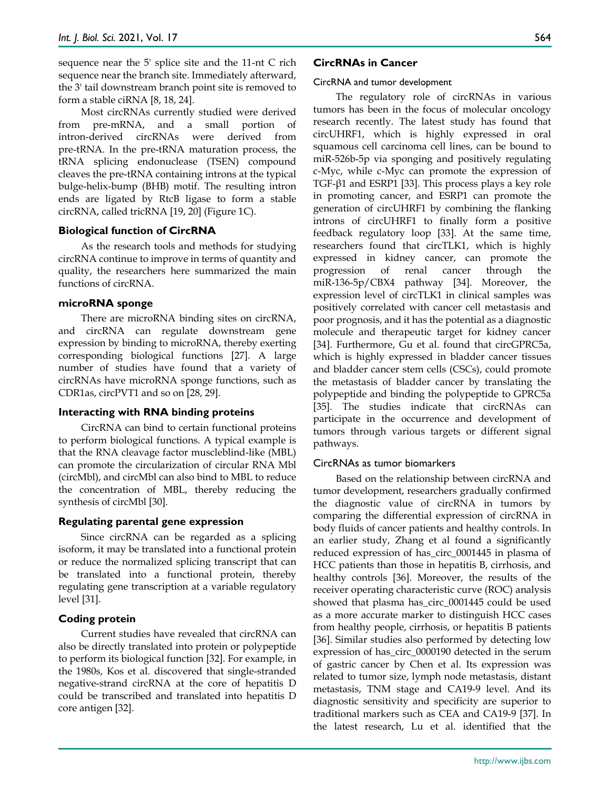sequence near the 5' splice site and the 11-nt C rich sequence near the branch site. Immediately afterward, the 3' tail downstream branch point site is removed to form a stable ciRNA [8, 18, 24].

Most circRNAs currently studied were derived from pre-mRNA, and a small portion of intron-derived circRNAs were derived from pre-tRNA. In the pre-tRNA maturation process, the tRNA splicing endonuclease (TSEN) compound cleaves the pre-tRNA containing introns at the typical bulge-helix-bump (BHB) motif. The resulting intron ends are ligated by RtcB ligase to form a stable circRNA, called tricRNA [19, 20] (Figure 1C).

#### **Biological function of CircRNA**

As the research tools and methods for studying circRNA continue to improve in terms of quantity and quality, the researchers here summarized the main functions of circRNA.

#### **microRNA sponge**

There are microRNA binding sites on circRNA, and circRNA can regulate downstream gene expression by binding to microRNA, thereby exerting corresponding biological functions [27]. A large number of studies have found that a variety of circRNAs have microRNA sponge functions, such as CDR1as, circPVT1 and so on [28, 29].

#### **Interacting with RNA binding proteins**

CircRNA can bind to certain functional proteins to perform biological functions. A typical example is that the RNA cleavage factor muscleblind-like (MBL) can promote the circularization of circular RNA Mbl (circMbl), and circMbl can also bind to MBL to reduce the concentration of MBL, thereby reducing the synthesis of circMbl [30].

#### **Regulating parental gene expression**

Since circRNA can be regarded as a splicing isoform, it may be translated into a functional protein or reduce the normalized splicing transcript that can be translated into a functional protein, thereby regulating gene transcription at a variable regulatory level [31].

#### **Coding protein**

Current studies have revealed that circRNA can also be directly translated into protein or polypeptide to perform its biological function [32]. For example, in the 1980s, Kos et al. discovered that single-stranded negative-strand circRNA at the core of hepatitis D could be transcribed and translated into hepatitis D core antigen [32].

#### 564

#### **CircRNAs in Cancer**

CircRNA and tumor development

The regulatory role of circRNAs in various tumors has been in the focus of molecular oncology research recently. The latest study has found that circUHRF1, which is highly expressed in oral squamous cell carcinoma cell lines, can be bound to miR-526b-5p via sponging and positively regulating c-Myc, while c-Myc can promote the expression of TGF-β1 and ESRP1 [33]. This process plays a key role in promoting cancer, and ESRP1 can promote the generation of circUHRF1 by combining the flanking introns of circUHRF1 to finally form a positive feedback regulatory loop [33]. At the same time, researchers found that circTLK1, which is highly expressed in kidney cancer, can promote the progression of renal cancer through the miR-136-5p/CBX4 pathway [34]. Moreover, the expression level of circTLK1 in clinical samples was positively correlated with cancer cell metastasis and poor prognosis, and it has the potential as a diagnostic molecule and therapeutic target for kidney cancer [34]. Furthermore, Gu et al. found that circGPRC5a, which is highly expressed in bladder cancer tissues and bladder cancer stem cells (CSCs), could promote the metastasis of bladder cancer by translating the polypeptide and binding the polypeptide to GPRC5a [35]. The studies indicate that circRNAs can participate in the occurrence and development of tumors through various targets or different signal pathways.

#### CircRNAs as tumor biomarkers

Based on the relationship between circRNA and tumor development, researchers gradually confirmed the diagnostic value of circRNA in tumors by comparing the differential expression of circRNA in body fluids of cancer patients and healthy controls. In an earlier study, Zhang et al found a significantly reduced expression of has\_circ\_0001445 in plasma of HCC patients than those in hepatitis B, cirrhosis, and healthy controls [36]. Moreover, the results of the receiver operating characteristic curve (ROC) analysis showed that plasma has\_circ\_0001445 could be used as a more accurate marker to distinguish HCC cases from healthy people, cirrhosis, or hepatitis B patients [36]. Similar studies also performed by detecting low expression of has\_circ\_0000190 detected in the serum of gastric cancer by Chen et al. Its expression was related to tumor size, lymph node metastasis, distant metastasis, TNM stage and CA19-9 level. And its diagnostic sensitivity and specificity are superior to traditional markers such as CEA and CA19-9 [37]. In the latest research, Lu et al. identified that the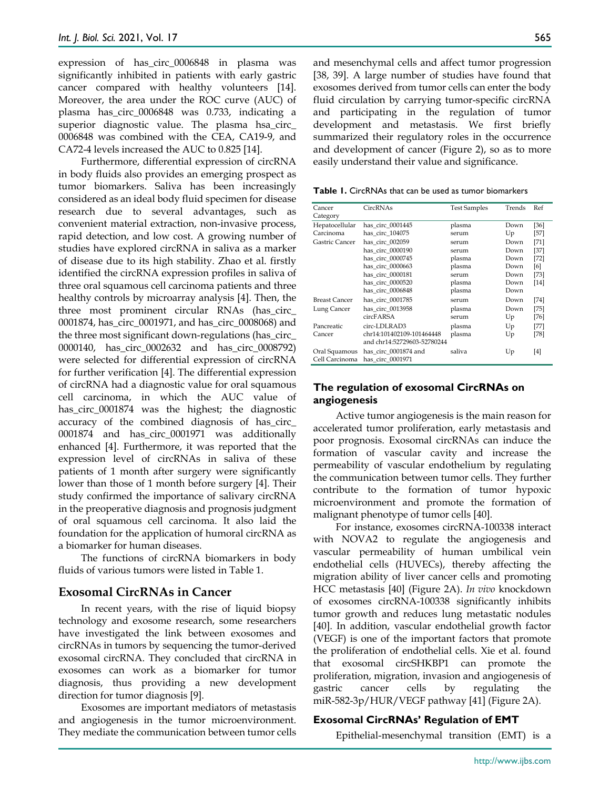expression of has circ 0006848 in plasma was significantly inhibited in patients with early gastric cancer compared with healthy volunteers [14]. Moreover, the area under the ROC curve (AUC) of plasma has\_circ\_0006848 was 0.733, indicating a superior diagnostic value. The plasma hsa circ 0006848 was combined with the CEA, CA19-9, and CA72-4 levels increased the AUC to 0.825 [14].

Furthermore, differential expression of circRNA in body fluids also provides an emerging prospect as tumor biomarkers. Saliva has been increasingly considered as an ideal body fluid specimen for disease research due to several advantages, such as convenient material extraction, non-invasive process, rapid detection, and low cost. A growing number of studies have explored circRNA in saliva as a marker of disease due to its high stability. Zhao et al. firstly identified the circRNA expression profiles in saliva of three oral squamous cell carcinoma patients and three healthy controls by microarray analysis [4]. Then, the three most prominent circular RNAs (has\_circ\_ 0001874, has\_circ\_0001971, and has\_circ\_0008068) and the three most significant down-regulations (has\_circ\_ 0000140, has\_circ\_0002632 and has\_circ\_0008792) were selected for differential expression of circRNA for further verification [4]. The differential expression of circRNA had a diagnostic value for oral squamous cell carcinoma, in which the AUC value of has circ 0001874 was the highest; the diagnostic accuracy of the combined diagnosis of has\_circ\_ 0001874 and has\_circ\_0001971 was additionally enhanced [4]. Furthermore, it was reported that the expression level of circRNAs in saliva of these patients of 1 month after surgery were significantly lower than those of 1 month before surgery [4]. Their study confirmed the importance of salivary circRNA in the preoperative diagnosis and prognosis judgment of oral squamous cell carcinoma. It also laid the foundation for the application of humoral circRNA as a biomarker for human diseases.

The functions of circRNA biomarkers in body fluids of various tumors were listed in Table 1.

## **Exosomal CircRNAs in Cancer**

In recent years, with the rise of liquid biopsy technology and exosome research, some researchers have investigated the link between exosomes and circRNAs in tumors by sequencing the tumor-derived exosomal circRNA. They concluded that circRNA in exosomes can work as a biomarker for tumor diagnosis, thus providing a new development direction for tumor diagnosis [9].

Exosomes are important mediators of metastasis and angiogenesis in the tumor microenvironment. They mediate the communication between tumor cells and mesenchymal cells and affect tumor progression [38, 39]. A large number of studies have found that exosomes derived from tumor cells can enter the body fluid circulation by carrying tumor-specific circRNA and participating in the regulation of tumor development and metastasis. We first briefly summarized their regulatory roles in the occurrence and development of cancer (Figure 2), so as to more easily understand their value and significance.

**Table 1.** CircRNAs that can be used as tumor biomarkers

| Cancer<br>Category                  | CircRNAs                                                                                        | <b>Test Samples</b>                         | Trends                               | Ref                                   |
|-------------------------------------|-------------------------------------------------------------------------------------------------|---------------------------------------------|--------------------------------------|---------------------------------------|
| Hepatocellular<br>Carcinoma         | has circ 0001445<br>has circ 104075                                                             | plasma<br>serum                             | Down<br>Up                           | [36]<br>[57]                          |
| Gastric Cancer                      | has circ 002059<br>has circ 0000190<br>has circ 0000745<br>has circ 0000663<br>has circ 0000181 | serum<br>serum<br>plasma<br>plasma<br>serum | Down<br>Down<br>Down<br>Down<br>Down | [71]<br>$[37]$<br>[72]<br>[6]<br>[73] |
|                                     | has circ 0000520<br>has circ 0006848                                                            | plasma<br>plasma                            | Down<br>Down                         | $[14]$                                |
| <b>Breast Cancer</b><br>Lung Cancer | has circ 0001785<br>has_circ_0013958<br>circFARSA                                               | serum<br>plasma<br>serum                    | Down<br>Down<br>Up                   | [74]<br>[75]<br>[76]                  |
| Pancreatic<br>Cancer                | circ-LDLRAD3<br>chr14:101402109-101464448<br>and chr14:52729603-52780244                        | plasma<br>plasma                            | Up<br>Up                             | [77]<br>[78]                          |
| Oral Squamous<br>Cell Carcinoma     | has circ 0001874 and<br>has circ 0001971                                                        | saliva                                      | Up                                   | [4]                                   |

## **The regulation of exosomal CircRNAs on angiogenesis**

Active tumor angiogenesis is the main reason for accelerated tumor proliferation, early metastasis and poor prognosis. Exosomal circRNAs can induce the formation of vascular cavity and increase the permeability of vascular endothelium by regulating the communication between tumor cells. They further contribute to the formation of tumor hypoxic microenvironment and promote the formation of malignant phenotype of tumor cells [40].

For instance, exosomes circRNA-100338 interact with NOVA2 to regulate the angiogenesis and vascular permeability of human umbilical vein endothelial cells (HUVECs), thereby affecting the migration ability of liver cancer cells and promoting HCC metastasis [40] (Figure 2A). *In vivo* knockdown of exosomes circRNA-100338 significantly inhibits tumor growth and reduces lung metastatic nodules [40]. In addition, vascular endothelial growth factor (VEGF) is one of the important factors that promote the proliferation of endothelial cells. Xie et al. found that exosomal circSHKBP1 can promote the proliferation, migration, invasion and angiogenesis of gastric cancer cells by regulating the miR-582-3p/HUR/VEGF pathway [41] (Figure 2A).

#### **Exosomal CircRNAs' Regulation of EMT**

Epithelial-mesenchymal transition (EMT) is a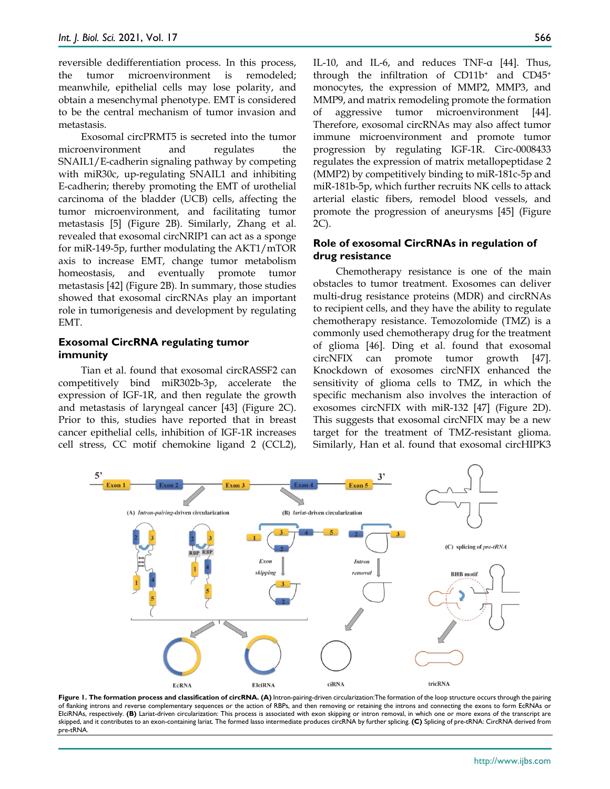reversible dedifferentiation process. In this process, the tumor microenvironment is remodeled; meanwhile, epithelial cells may lose polarity, and obtain a mesenchymal phenotype. EMT is considered to be the central mechanism of tumor invasion and metastasis.

Exosomal circPRMT5 is secreted into the tumor microenvironment and regulates the SNAIL1/E-cadherin signaling pathway by competing with miR30c, up-regulating SNAIL1 and inhibiting E-cadherin; thereby promoting the EMT of urothelial carcinoma of the bladder (UCB) cells, affecting the tumor microenvironment, and facilitating tumor metastasis [5] (Figure 2B). Similarly, Zhang et al. revealed that exosomal circNRIP1 can act as a sponge for miR-149-5p, further modulating the AKT1/mTOR axis to increase EMT, change tumor metabolism homeostasis, and eventually promote tumor metastasis [42] (Figure 2B). In summary, those studies showed that exosomal circRNAs play an important role in tumorigenesis and development by regulating EMT.

## **Exosomal CircRNA regulating tumor immunity**

Tian et al. found that exosomal circRASSF2 can competitively bind miR302b-3p, accelerate the expression of IGF-1R, and then regulate the growth and metastasis of laryngeal cancer [43] (Figure 2C). Prior to this, studies have reported that in breast cancer epithelial cells, inhibition of IGF-1R increases cell stress, CC motif chemokine ligand 2 (CCL2),

IL-10, and IL-6, and reduces TNF-α [44]. Thus, through the infiltration of CD11b+ and CD45+ monocytes, the expression of MMP2, MMP3, and MMP9, and matrix remodeling promote the formation of aggressive tumor microenvironment [44]. Therefore, exosomal circRNAs may also affect tumor immune microenvironment and promote tumor progression by regulating IGF-1R. Circ-0008433 regulates the expression of matrix metallopeptidase 2 (MMP2) by competitively binding to miR-181c-5p and miR-181b-5p, which further recruits NK cells to attack arterial elastic fibers, remodel blood vessels, and promote the progression of aneurysms [45] (Figure 2C).

## **Role of exosomal CircRNAs in regulation of drug resistance**

Chemotherapy resistance is one of the main obstacles to tumor treatment. Exosomes can deliver multi-drug resistance proteins (MDR) and circRNAs to recipient cells, and they have the ability to regulate chemotherapy resistance. Temozolomide (TMZ) is a commonly used chemotherapy drug for the treatment of glioma [46]. Ding et al. found that exosomal circNFIX can promote tumor growth [47]. Knockdown of exosomes circNFIX enhanced the sensitivity of glioma cells to TMZ, in which the specific mechanism also involves the interaction of exosomes circNFIX with miR-132 [47] (Figure 2D). This suggests that exosomal circNFIX may be a new target for the treatment of TMZ-resistant glioma. Similarly, Han et al. found that exosomal circHIPK3



**Figure 1. The formation process and classification of circRNA. (A)** Intron-pairing-driven circularization:The formation of the loop structure occurs through the pairing of flanking introns and reverse complementary sequences or the action of RBPs, and then removing or retaining the introns and connecting the exons to form EcRNAs or ElciRNAs, respectively. (B) Lariat-driven circularization: This process is associated with exon skipping or intron removal, in which one or more exons of the transcript are skipped, and it contributes to an exon-containing lariat. The formed lasso intermediate produces circRNA by further splicing. **(C)** Splicing of pre-tRNA: CircRNA derived from pre-tRNA.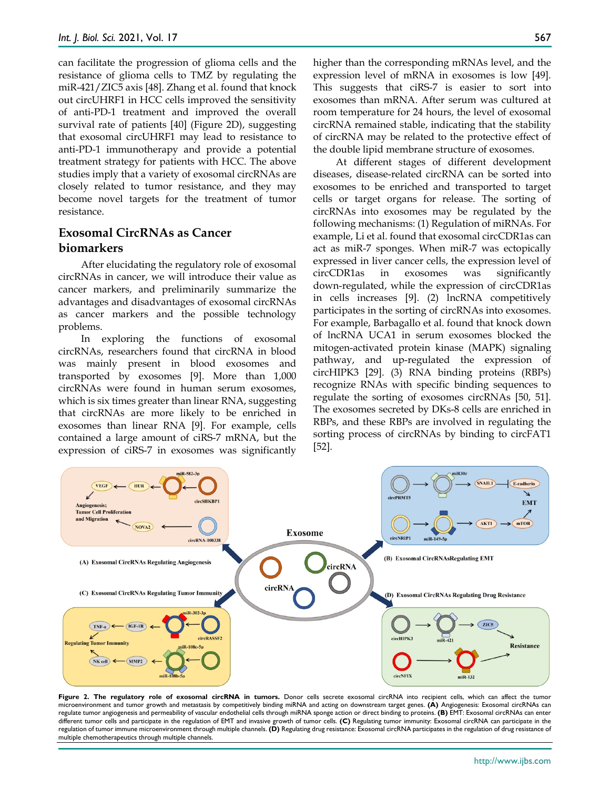can facilitate the progression of glioma cells and the resistance of glioma cells to TMZ by regulating the miR-421/ZIC5 axis [48]. Zhang et al. found that knock out circUHRF1 in HCC cells improved the sensitivity of anti-PD-1 treatment and improved the overall survival rate of patients [40] (Figure 2D), suggesting that exosomal circUHRF1 may lead to resistance to anti-PD-1 immunotherapy and provide a potential treatment strategy for patients with HCC. The above studies imply that a variety of exosomal circRNAs are closely related to tumor resistance, and they may become novel targets for the treatment of tumor resistance.

## **Exosomal CircRNAs as Cancer biomarkers**

After elucidating the regulatory role of exosomal circRNAs in cancer, we will introduce their value as cancer markers, and preliminarily summarize the advantages and disadvantages of exosomal circRNAs as cancer markers and the possible technology problems.

In exploring the functions of exosomal circRNAs, researchers found that circRNA in blood was mainly present in blood exosomes and transported by exosomes [9]. More than 1,000 circRNAs were found in human serum exosomes, which is six times greater than linear RNA, suggesting that circRNAs are more likely to be enriched in exosomes than linear RNA [9]. For example, cells contained a large amount of ciRS-7 mRNA, but the expression of ciRS-7 in exosomes was significantly higher than the corresponding mRNAs level, and the expression level of mRNA in exosomes is low [49]. This suggests that ciRS-7 is easier to sort into exosomes than mRNA. After serum was cultured at room temperature for 24 hours, the level of exosomal circRNA remained stable, indicating that the stability of circRNA may be related to the protective effect of the double lipid membrane structure of exosomes.

At different stages of different development diseases, disease-related circRNA can be sorted into exosomes to be enriched and transported to target cells or target organs for release. The sorting of circRNAs into exosomes may be regulated by the following mechanisms: (1) Regulation of miRNAs. For example, Li et al. found that exosomal circCDR1as can act as miR-7 sponges. When miR-7 was ectopically expressed in liver cancer cells, the expression level of circCDR1as in exosomes was significantly down-regulated, while the expression of circCDR1as in cells increases [9]. (2) lncRNA competitively participates in the sorting of circRNAs into exosomes. For example, Barbagallo et al. found that knock down of lncRNA UCA1 in serum exosomes blocked the mitogen-activated protein kinase (MAPK) signaling pathway, and up-regulated the expression of circHIPK3 [29]. (3) RNA binding proteins (RBPs) recognize RNAs with specific binding sequences to regulate the sorting of exosomes circRNAs [50, 51]. The exosomes secreted by DKs-8 cells are enriched in RBPs, and these RBPs are involved in regulating the sorting process of circRNAs by binding to circFAT1 [52].



Figure 2. The regulatory role of exosomal circRNA in tumors. Donor cells secrete exosomal circRNA into recipient cells, which can affect the tumor microenvironment and tumor growth and metastasis by competitively binding miRNA and acting on downstream target genes. **(A)** Angiogenesis: Exosomal circRNAs can regulate tumor angiogenesis and permeability of vascular endothelial cells through miRNA sponge action or direct binding to proteins. **(B)** EMT: Exosomal circRNAs can enter different tumor cells and participate in the regulation of EMT and invasive growth of tumor cells. **(C)** Regulating tumor immunity: Exosomal circRNA can participate in the regulation of tumor immune microenvironment through multiple channels. **(D)** Regulating drug resistance: Exosomal circRNA participates in the regulation of drug resistance of multiple chemotherapeutics through multiple channels.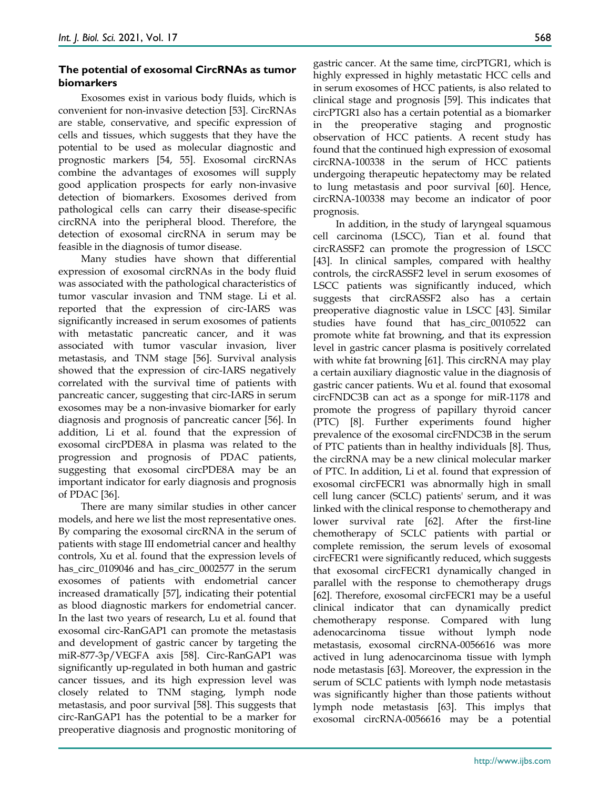## **The potential of exosomal CircRNAs as tumor biomarkers**

Exosomes exist in various body fluids, which is convenient for non-invasive detection [53]. CircRNAs are stable, conservative, and specific expression of cells and tissues, which suggests that they have the potential to be used as molecular diagnostic and prognostic markers [54, 55]. Exosomal circRNAs combine the advantages of exosomes will supply good application prospects for early non-invasive detection of biomarkers. Exosomes derived from pathological cells can carry their disease-specific circRNA into the peripheral blood. Therefore, the detection of exosomal circRNA in serum may be feasible in the diagnosis of tumor disease.

Many studies have shown that differential expression of exosomal circRNAs in the body fluid was associated with the pathological characteristics of tumor vascular invasion and TNM stage. Li et al. reported that the expression of circ-IARS was significantly increased in serum exosomes of patients with metastatic pancreatic cancer, and it was associated with tumor vascular invasion, liver metastasis, and TNM stage [56]. Survival analysis showed that the expression of circ-IARS negatively correlated with the survival time of patients with pancreatic cancer, suggesting that circ-IARS in serum exosomes may be a non-invasive biomarker for early diagnosis and prognosis of pancreatic cancer [56]. In addition, Li et al. found that the expression of exosomal circPDE8A in plasma was related to the progression and prognosis of PDAC patients, suggesting that exosomal circPDE8A may be an important indicator for early diagnosis and prognosis of PDAC [36].

There are many similar studies in other cancer models, and here we list the most representative ones. By comparing the exosomal circRNA in the serum of patients with stage III endometrial cancer and healthy controls, Xu et al. found that the expression levels of has\_circ\_0109046 and has\_circ\_0002577 in the serum exosomes of patients with endometrial cancer increased dramatically [57], indicating their potential as blood diagnostic markers for endometrial cancer. In the last two years of research, Lu et al. found that exosomal circ-RanGAP1 can promote the metastasis and development of gastric cancer by targeting the miR-877-3p/VEGFA axis [58]. Circ-RanGAP1 was significantly up-regulated in both human and gastric cancer tissues, and its high expression level was closely related to TNM staging, lymph node metastasis, and poor survival [58]. This suggests that circ-RanGAP1 has the potential to be a marker for preoperative diagnosis and prognostic monitoring of

gastric cancer. At the same time, circPTGR1, which is highly expressed in highly metastatic HCC cells and in serum exosomes of HCC patients, is also related to clinical stage and prognosis [59]. This indicates that circPTGR1 also has a certain potential as a biomarker in the preoperative staging and prognostic observation of HCC patients. A recent study has found that the continued high expression of exosomal circRNA-100338 in the serum of HCC patients undergoing therapeutic hepatectomy may be related to lung metastasis and poor survival [60]. Hence, circRNA-100338 may become an indicator of poor prognosis.

In addition, in the study of laryngeal squamous cell carcinoma (LSCC), Tian et al. found that circRASSF2 can promote the progression of LSCC [43]. In clinical samples, compared with healthy controls, the circRASSF2 level in serum exosomes of LSCC patients was significantly induced, which suggests that circRASSF2 also has a certain preoperative diagnostic value in LSCC [43]. Similar studies have found that has\_circ\_0010522 can promote white fat browning, and that its expression level in gastric cancer plasma is positively correlated with white fat browning [61]. This circRNA may play a certain auxiliary diagnostic value in the diagnosis of gastric cancer patients. Wu et al. found that exosomal circFNDC3B can act as a sponge for miR-1178 and promote the progress of papillary thyroid cancer (PTC) [8]. Further experiments found higher prevalence of the exosomal circFNDC3B in the serum of PTC patients than in healthy individuals [8]. Thus, the circRNA may be a new clinical molecular marker of PTC. In addition, Li et al. found that expression of exosomal circFECR1 was abnormally high in small cell lung cancer (SCLC) patients' serum, and it was linked with the clinical response to chemotherapy and lower survival rate [62]. After the first-line chemotherapy of SCLC patients with partial or complete remission, the serum levels of exosomal circFECR1 were significantly reduced, which suggests that exosomal circFECR1 dynamically changed in parallel with the response to chemotherapy drugs [62]. Therefore, exosomal circFECR1 may be a useful clinical indicator that can dynamically predict chemotherapy response. Compared with lung adenocarcinoma tissue without lymph node metastasis, exosomal circRNA-0056616 was more actived in lung adenocarcinoma tissue with lymph node metastasis [63]. Moreover, the expression in the serum of SCLC patients with lymph node metastasis was significantly higher than those patients without lymph node metastasis [63]. This implys that exosomal circRNA-0056616 may be a potential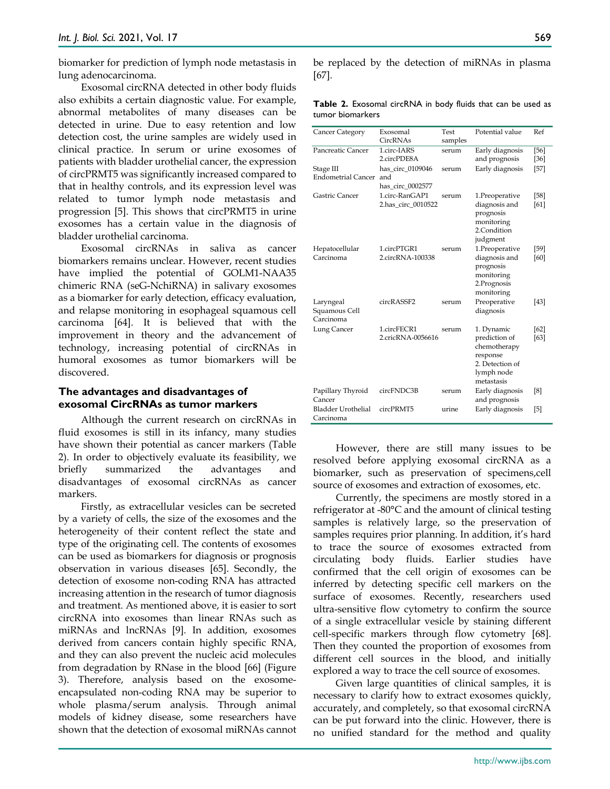biomarker for prediction of lymph node metastasis in lung adenocarcinoma.

Exosomal circRNA detected in other body fluids also exhibits a certain diagnostic value. For example, abnormal metabolites of many diseases can be detected in urine. Due to easy retention and low detection cost, the urine samples are widely used in clinical practice. In serum or urine exosomes of patients with bladder urothelial cancer, the expression of circPRMT5 was significantly increased compared to that in healthy controls, and its expression level was related to tumor lymph node metastasis and progression [5]. This shows that circPRMT5 in urine exosomes has a certain value in the diagnosis of bladder urothelial carcinoma.

Exosomal circRNAs in saliva as cancer biomarkers remains unclear. However, recent studies have implied the potential of GOLM1-NAA35 chimeric RNA (seG-NchiRNA) in salivary exosomes as a biomarker for early detection, efficacy evaluation, and relapse monitoring in esophageal squamous cell carcinoma [64]. It is believed that with the improvement in theory and the advancement of technology, increasing potential of circRNAs in humoral exosomes as tumor biomarkers will be discovered.

## **The advantages and disadvantages of exosomal CircRNAs as tumor markers**

Although the current research on circRNAs in fluid exosomes is still in its infancy, many studies have shown their potential as cancer markers (Table 2). In order to objectively evaluate its feasibility, we briefly summarized the advantages and disadvantages of exosomal circRNAs as cancer markers.

Firstly, as extracellular vesicles can be secreted by a variety of cells, the size of the exosomes and the heterogeneity of their content reflect the state and type of the originating cell. The contents of exosomes can be used as biomarkers for diagnosis or prognosis observation in various diseases [65]. Secondly, the detection of exosome non-coding RNA has attracted increasing attention in the research of tumor diagnosis and treatment. As mentioned above, it is easier to sort circRNA into exosomes than linear RNAs such as miRNAs and lncRNAs [9]. In addition, exosomes derived from cancers contain highly specific RNA, and they can also prevent the nucleic acid molecules from degradation by RNase in the blood [66] (Figure 3). Therefore, analysis based on the exosomeencapsulated non-coding RNA may be superior to whole plasma/serum analysis. Through animal models of kidney disease, some researchers have shown that the detection of exosomal miRNAs cannot

be replaced by the detection of miRNAs in plasma [67].

**Table 2.** Exosomal circRNA in body fluids that can be used as tumor biomarkers

| Cancer Category                         | Exosomal<br>CircRNAs                        | Test<br>samples | Potential value                                                                                        | Ref              |
|-----------------------------------------|---------------------------------------------|-----------------|--------------------------------------------------------------------------------------------------------|------------------|
| Pancreatic Cancer                       | 1.circ-IARS<br>2.circPDE8A                  | serum           | Early diagnosis<br>and prognosis                                                                       | $[56]$<br>$[36]$ |
| Stage III<br><b>Endometrial Cancer</b>  | has circ 0109046<br>and<br>has circ 0002577 | serum           | Early diagnosis                                                                                        | $[57]$           |
| Gastric Cancer                          | 1.circ-RanGAP1<br>2.has_circ_0010522        | serum           | 1.Preoperative<br>diagnosis and<br>prognosis<br>monitoring<br>2.Condition<br>judgment                  | $[58]$<br>[61]   |
| Hepatocellular<br>Carcinoma             | 1.circPTGR1<br>2.circRNA-100338             | serum           | 1.Preoperative<br>diagnosis and<br>prognosis<br>monitoring<br>2.Prognosis<br>monitoring                | [59]<br>[60]     |
| Laryngeal<br>Squamous Cell<br>Carcinoma | circRASSF2                                  | serum           | Preoperative<br>diagnosis                                                                              | [43]             |
| Lung Cancer                             | 1.circFECR1<br>2.cricRNA-0056616            | serum           | 1. Dynamic<br>prediction of<br>chemotherapy<br>response<br>2. Detection of<br>lymph node<br>metastasis | [62]<br>[63]     |
| Papillary Thyroid<br>Cancer             | circFNDC3B                                  | serum           | Early diagnosis<br>and prognosis                                                                       | [8]              |
| <b>Bladder Urothelial</b><br>Carcinoma  | circPRMT5                                   | urine           | Early diagnosis                                                                                        | [5]              |

However, there are still many issues to be resolved before applying exosomal circRNA as a biomarker, such as preservation of specimens,cell source of exosomes and extraction of exosomes, etc.

Currently, the specimens are mostly stored in a refrigerator at -80°C and the amount of clinical testing samples is relatively large, so the preservation of samples requires prior planning. In addition, it's hard to trace the source of exosomes extracted from circulating body fluids. Earlier studies have confirmed that the cell origin of exosomes can be inferred by detecting specific cell markers on the surface of exosomes. Recently, researchers used ultra-sensitive flow cytometry to confirm the source of a single extracellular vesicle by staining different cell-specific markers through flow cytometry [68]. Then they counted the proportion of exosomes from different cell sources in the blood, and initially explored a way to trace the cell source of exosomes.

Given large quantities of clinical samples, it is necessary to clarify how to extract exosomes quickly, accurately, and completely, so that exosomal circRNA can be put forward into the clinic. However, there is no unified standard for the method and quality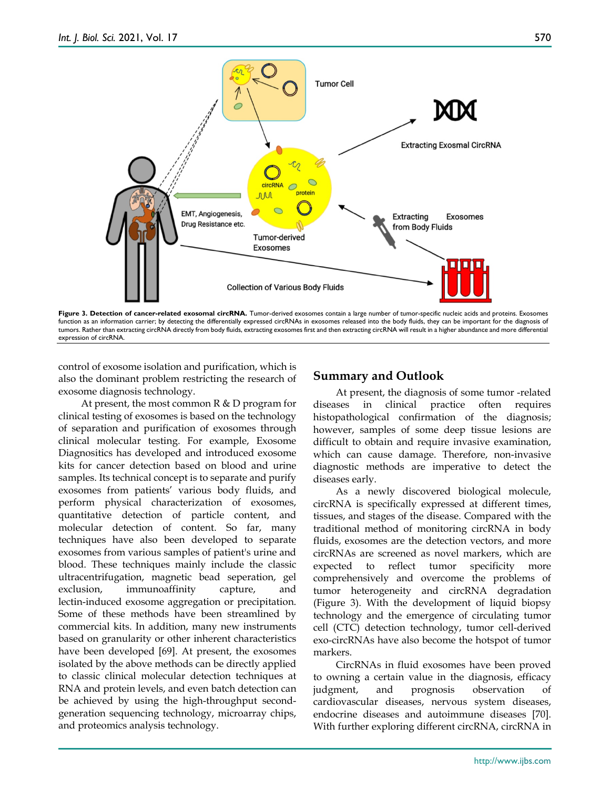

Figure 3. Detection of cancer-related exosomal circRNA. Tumor-derived exosomes contain a large number of tumor-specific nucleic acids and proteins. Exosomes function as an information carrier; by detecting the differentially expressed circRNAs in exosomes released into the body fluids, they can be important for the diagnosis of tumors. Rather than extracting circRNA directly from body fluids, extracting exosomes first and then extracting circRNA will result in a higher abundance and more differential expression of circRNA

control of exosome isolation and purification, which is also the dominant problem restricting the research of exosome diagnosis technology.

At present, the most common  $R \& D$  program for clinical testing of exosomes is based on the technology of separation and purification of exosomes through clinical molecular testing. For example, Exosome Diagnositics has developed and introduced exosome kits for cancer detection based on blood and urine samples. Its technical concept is to separate and purify exosomes from patients' various body fluids, and perform physical characterization of exosomes, quantitative detection of particle content, and molecular detection of content. So far, many techniques have also been developed to separate exosomes from various samples of patient's urine and blood. These techniques mainly include the classic ultracentrifugation, magnetic bead seperation, gel exclusion, immunoaffinity capture, and lectin-induced exosome aggregation or precipitation. Some of these methods have been streamlined by commercial kits. In addition, many new instruments based on granularity or other inherent characteristics have been developed [69]. At present, the exosomes isolated by the above methods can be directly applied to classic clinical molecular detection techniques at RNA and protein levels, and even batch detection can be achieved by using the high-throughput secondgeneration sequencing technology, microarray chips, and proteomics analysis technology.

## **Summary and Outlook**

At present, the diagnosis of some tumor -related diseases in clinical practice often requires histopathological confirmation of the diagnosis; however, samples of some deep tissue lesions are difficult to obtain and require invasive examination, which can cause damage. Therefore, non-invasive diagnostic methods are imperative to detect the diseases early.

As a newly discovered biological molecule, circRNA is specifically expressed at different times, tissues, and stages of the disease. Compared with the traditional method of monitoring circRNA in body fluids, exosomes are the detection vectors, and more circRNAs are screened as novel markers, which are expected to reflect tumor specificity more comprehensively and overcome the problems of tumor heterogeneity and circRNA degradation (Figure 3). With the development of liquid biopsy technology and the emergence of circulating tumor cell (CTC) detection technology, tumor cell-derived exo-circRNAs have also become the hotspot of tumor markers.

CircRNAs in fluid exosomes have been proved to owning a certain value in the diagnosis, efficacy judgment, and prognosis observation of cardiovascular diseases, nervous system diseases, endocrine diseases and autoimmune diseases [70]. With further exploring different circRNA, circRNA in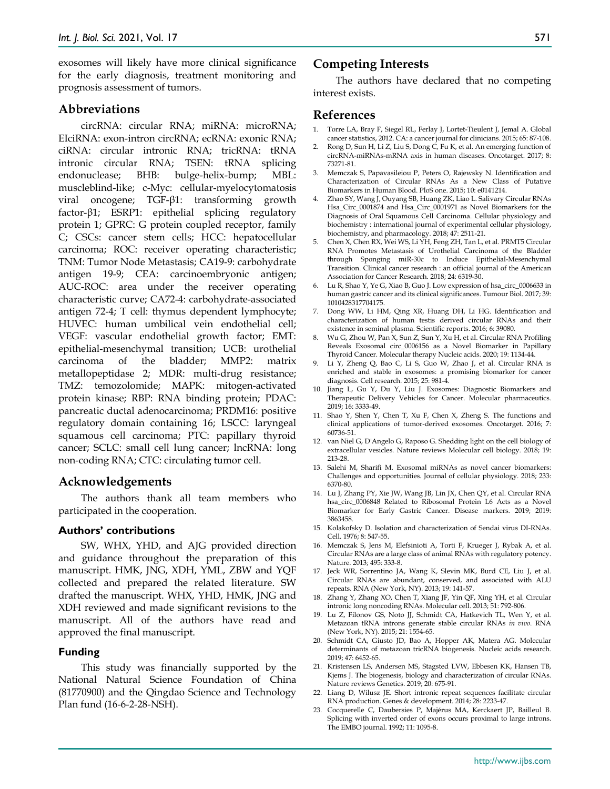exosomes will likely have more clinical significance for the early diagnosis, treatment monitoring and prognosis assessment of tumors.

#### **Abbreviations**

circRNA: circular RNA; miRNA: microRNA; EIciRNA: exon-intron circRNA; ecRNA: exonic RNA; ciRNA: circular intronic RNA; tricRNA: tRNA intronic circular RNA; TSEN: tRNA splicing endonuclease; BHB: bulge-helix-bump; MBL: muscleblind-like; c-Myc: cellular-myelocytomatosis viral oncogene; TGF-β1: transforming growth factor-β1; ESRP1: epithelial splicing regulatory protein 1; GPRC: G protein coupled receptor, family C; CSCs: cancer stem cells; HCC: hepatocellular carcinoma; ROC: receiver operating characteristic; TNM: Tumor Node Metastasis; CA19-9: carbohydrate antigen 19-9; CEA: carcinoembryonic antigen; AUC-ROC: area under the receiver operating characteristic curve; CA72-4: carbohydrate-associated antigen 72-4; T cell: thymus dependent lymphocyte; HUVEC: human umbilical vein endothelial cell; VEGF: vascular endothelial growth factor; EMT: epithelial-mesenchymal transition; UCB: urothelial carcinoma of the bladder; MMP2: matrix metallopeptidase 2; MDR: multi-drug resistance; TMZ: temozolomide; MAPK: mitogen-activated protein kinase; RBP: RNA binding protein; PDAC: pancreatic ductal adenocarcinoma; PRDM16: positive regulatory domain containing 16; LSCC: laryngeal squamous cell carcinoma; PTC: papillary thyroid cancer; SCLC: small cell lung cancer; lncRNA: long non-coding RNA; CTC: circulating tumor cell.

#### **Acknowledgements**

The authors thank all team members who participated in the cooperation.

#### **Authors' contributions**

SW, WHX, YHD, and AJG provided direction and guidance throughout the preparation of this manuscript. HMK, JNG, XDH, YML, ZBW and YQF collected and prepared the related literature. SW drafted the manuscript. WHX, YHD, HMK, JNG and XDH reviewed and made significant revisions to the manuscript. All of the authors have read and approved the final manuscript.

#### **Funding**

This study was financially supported by the National Natural Science Foundation of China (81770900) and the Qingdao Science and Technology Plan fund (16-6-2-28-NSH).

## **Competing Interests**

The authors have declared that no competing interest exists.

## **References**

- 1. Torre LA, Bray F, Siegel RL, Ferlay J, Lortet-Tieulent J, Jemal A. Global cancer statistics, 2012. CA: a cancer journal for clinicians. 2015; 65: 87-108.
- 2. Rong D, Sun H, Li Z, Liu S, Dong C, Fu K, et al. An emerging function of circRNA-miRNAs-mRNA axis in human diseases. Oncotarget. 2017; 8: 73271-81.
- 3. Memczak S, Papavasileiou P, Peters O, Rajewsky N. Identification and Characterization of Circular RNAs As a New Class of Putative Biomarkers in Human Blood. PloS one. 2015; 10: e0141214.
- 4. Zhao SY, Wang J, Ouyang SB, Huang ZK, Liao L. Salivary Circular RNAs Hsa\_Circ\_0001874 and Hsa\_Circ\_0001971 as Novel Biomarkers for the Diagnosis of Oral Squamous Cell Carcinoma. Cellular physiology and biochemistry : international journal of experimental cellular physiology, biochemistry, and pharmacology. 2018; 47: 2511-21.
- 5. Chen X, Chen RX, Wei WS, Li YH, Feng ZH, Tan L, et al. PRMT5 Circular RNA Promotes Metastasis of Urothelial Carcinoma of the Bladder through Sponging miR-30c to Induce Epithelial-Mesenchymal Transition. Clinical cancer research : an official journal of the American Association for Cancer Research. 2018; 24: 6319-30.
- 6. Lu R, Shao Y, Ye G, Xiao B, Guo J. Low expression of hsa\_circ\_0006633 in human gastric cancer and its clinical significances. Tumour Biol. 2017; 39: 1010428317704175.
- 7. Dong WW, Li HM, Qing XR, Huang DH, Li HG. Identification and characterization of human testis derived circular RNAs and their existence in seminal plasma. Scientific reports. 2016; 6: 39080.
- 8. Wu G, Zhou W, Pan X, Sun Z, Sun Y, Xu H, et al. Circular RNA Profiling Reveals Exosomal circ\_0006156 as a Novel Biomarker in Papillary Thyroid Cancer. Molecular therapy Nucleic acids. 2020; 19: 1134-44.
- 9. Li Y, Zheng Q, Bao C, Li S, Guo W, Zhao J, et al. Circular RNA is enriched and stable in exosomes: a promising biomarker for cancer diagnosis. Cell research. 2015; 25: 981-4.
- 10. Jiang L, Gu Y, Du Y, Liu J. Exosomes: Diagnostic Biomarkers and Therapeutic Delivery Vehicles for Cancer. Molecular pharmaceutics. 2019; 16: 3333-49.
- 11. Shao Y, Shen Y, Chen T, Xu F, Chen X, Zheng S. The functions and clinical applications of tumor-derived exosomes. Oncotarget. 2016; 7: 60736-51.
- 12. van Niel G, D'Angelo G, Raposo G. Shedding light on the cell biology of extracellular vesicles. Nature reviews Molecular cell biology. 2018; 19: 213-28.
- 13. Salehi M, Sharifi M. Exosomal miRNAs as novel cancer biomarkers: Challenges and opportunities. Journal of cellular physiology. 2018; 233: 6370-80.
- 14. Lu J, Zhang PY, Xie JW, Wang JB, Lin JX, Chen QY, et al. Circular RNA hsa\_circ\_0006848 Related to Ribosomal Protein L6 Acts as a Novel Biomarker for Early Gastric Cancer. Disease markers. 2019; 2019: 3863458.
- 15. Kolakofsky D. Isolation and characterization of Sendai virus DI-RNAs. Cell. 1976; 8: 547-55.
- 16. Memczak S, Jens M, Elefsinioti A, Torti F, Krueger J, Rybak A, et al. Circular RNAs are a large class of animal RNAs with regulatory potency. Nature. 2013; 495: 333-8.
- 17. Jeck WR, Sorrentino JA, Wang K, Slevin MK, Burd CE, Liu J, et al. Circular RNAs are abundant, conserved, and associated with ALU repeats. RNA (New York, NY). 2013; 19: 141-57.
- 18. Zhang Y, Zhang XO, Chen T, Xiang JF, Yin QF, Xing YH, et al. Circular intronic long noncoding RNAs. Molecular cell. 2013; 51: 792-806.
- 19. Lu Z, Filonov GS, Noto JJ, Schmidt CA, Hatkevich TL, Wen Y, et al. Metazoan tRNA introns generate stable circular RNAs *in vivo*. RNA (New York, NY). 2015; 21: 1554-65.
- 20. Schmidt CA, Giusto JD, Bao A, Hopper AK, Matera AG. Molecular determinants of metazoan tricRNA biogenesis. Nucleic acids research. 2019; 47: 6452-65.
- 21. Kristensen LS, Andersen MS, Stagsted LVW, Ebbesen KK, Hansen TB, Kjems J. The biogenesis, biology and characterization of circular RNAs. Nature reviews Genetics. 2019; 20: 675-91.
- 22. Liang D, Wilusz JE. Short intronic repeat sequences facilitate circular RNA production. Genes & development. 2014; 28: 2233-47.
- 23. Cocquerelle C, Daubersies P, Majérus MA, Kerckaert JP, Bailleul B. Splicing with inverted order of exons occurs proximal to large introns. The EMBO journal. 1992; 11: 1095-8.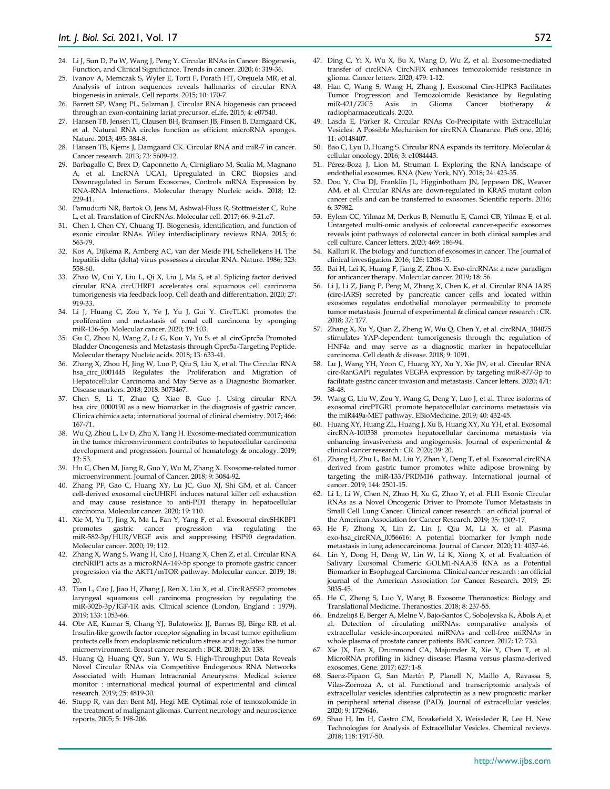- 24. Li J, Sun D, Pu W, Wang J, Peng Y. Circular RNAs in Cancer: Biogenesis, Function, and Clinical Significance. Trends in cancer. 2020; 6: 319-36.
- 25. Ivanov A, Memczak S, Wyler E, Torti F, Porath HT, Orejuela MR, et al. Analysis of intron sequences reveals hallmarks of circular RNA biogenesis in animals. Cell reports. 2015; 10: 170-7.
- 26. Barrett SP, Wang PL, Salzman J. Circular RNA biogenesis can proceed through an exon-containing lariat precursor. eLife. 2015; 4: e07540.
- 27. Hansen TB, Jensen TI, Clausen BH, Bramsen JB, Finsen B, Damgaard CK, et al. Natural RNA circles function as efficient microRNA sponges. Nature. 2013; 495: 384-8.
- 28. Hansen TB, Kjems J, Damgaard CK. Circular RNA and miR-7 in cancer. Cancer research. 2013; 73: 5609-12.
- 29. Barbagallo C, Brex D, Caponnetto A, Cirnigliaro M, Scalia M, Magnano A, et al. LncRNA UCA1, Upregulated in CRC Biopsies and Downregulated in Serum Exosomes, Controls mRNA Expression by RNA-RNA Interactions. Molecular therapy Nucleic acids. 2018; 12: 229-41.
- 30. Pamudurti NR, Bartok O, Jens M, Ashwal-Fluss R, Stottmeister C, Ruhe L, et al. Translation of CircRNAs. Molecular cell. 2017; 66: 9-21.e7.
- 31. Chen I, Chen CY, Chuang TJ. Biogenesis, identification, and function of exonic circular RNAs. Wiley interdisciplinary reviews RNA. 2015; 6: 563-79.
- 32. Kos A, Dijkema R, Arnberg AC, van der Meide PH, Schellekens H. The hepatitis delta (delta) virus possesses a circular RNA. Nature. 1986; 323: 558-60.
- 33. Zhao W, Cui Y, Liu L, Qi X, Liu J, Ma S, et al. Splicing factor derived circular RNA circUHRF1 accelerates oral squamous cell carcinoma tumorigenesis via feedback loop. Cell death and differentiation. 2020; 27: 919-33.
- 34. Li J, Huang C, Zou Y, Ye J, Yu J, Gui Y. CircTLK1 promotes the proliferation and metastasis of renal cell carcinoma by sponging miR-136-5p. Molecular cancer. 2020; 19: 103.
- 35. Gu C, Zhou N, Wang Z, Li G, Kou Y, Yu S, et al. circGprc5a Promoted Bladder Oncogenesis and Metastasis through Gprc5a-Targeting Peptide. Molecular therapy Nucleic acids. 2018; 13: 633-41.
- Zhang X, Zhou H, Jing W, Luo P, Qiu S, Liu X, et al. The Circular RNA hsa\_circ\_0001445 Regulates the Proliferation and Migration of Hepatocellular Carcinoma and May Serve as a Diagnostic Biomarker. Disease markers. 2018; 2018: 3073467.
- 37. Chen S, Li T, Zhao Q, Xiao B, Guo J. Using circular RNA hsa\_circ\_0000190 as a new biomarker in the diagnosis of gastric cancer. Clinica chimica acta; international journal of clinical chemistry. 2017; 466: 167-71.
- 38. Wu Q, Zhou L, Lv D, Zhu X, Tang H. Exosome-mediated communication in the tumor microenvironment contributes to hepatocellular carcinoma development and progression. Journal of hematology & oncology. 2019; 12: 53.
- 39. Hu C, Chen M, Jiang R, Guo Y, Wu M, Zhang X. Exosome-related tumor microenvironment. Journal of Cancer. 2018; 9: 3084-92.
- 40. Zhang PF, Gao C, Huang XY, Lu JC, Guo XJ, Shi GM, et al. Cancer cell-derived exosomal circUHRF1 induces natural killer cell exhaustion and may cause resistance to anti-PD1 therapy in hepatocellular carcinoma. Molecular cancer. 2020; 19: 110.
- 41. Xie M, Yu T, Jing X, Ma L, Fan Y, Yang F, et al. Exosomal circSHKBP1 promotes gastric cancer progression via regulating the miR-582-3p/HUR/VEGF axis and suppressing HSP90 degradation. Molecular cancer. 2020; 19: 112.
- 42. Zhang X, Wang S, Wang H, Cao J, Huang X, Chen Z, et al. Circular RNA circNRIP1 acts as a microRNA-149-5p sponge to promote gastric cancer progression via the AKT1/mTOR pathway. Molecular cancer. 2019; 18: 20.
- 43. Tian L, Cao J, Jiao H, Zhang J, Ren X, Liu X, et al. CircRASSF2 promotes laryngeal squamous cell carcinoma progression by regulating the miR-302b-3p/IGF-1R axis. Clinical science (London, England : 1979). 2019; 133: 1053-66.
- 44. Obr AE, Kumar S, Chang YJ, Bulatowicz JJ, Barnes BJ, Birge RB, et al. Insulin-like growth factor receptor signaling in breast tumor epithelium protects cells from endoplasmic reticulum stress and regulates the tumor microenvironment. Breast cancer research : BCR. 2018; 20: 138.
- 45. Huang Q, Huang QY, Sun Y, Wu S. High-Throughput Data Reveals Novel Circular RNAs via Competitive Endogenous RNA Networks Associated with Human Intracranial Aneurysms. Medical science monitor : international medical journal of experimental and clinical research. 2019; 25: 4819-30.
- 46. Stupp R, van den Bent MJ, Hegi ME. Optimal role of temozolomide in the treatment of malignant gliomas. Current neurology and neuroscience reports. 2005; 5: 198-206.
- 47. Ding C, Yi X, Wu X, Bu X, Wang D, Wu Z, et al. Exosome-mediated transfer of circRNA CircNFIX enhances temozolomide resistance in glioma. Cancer letters. 2020; 479: 1-12.
- 48. Han C, Wang S, Wang H, Zhang J. Exosomal Circ-HIPK3 Facilitates Tumor Progression and Temozolomide Resistance by Regulating  $miR-421/ZIC5$  Axis radiopharmaceuticals. 2020.
- 49. Lasda E, Parker R. Circular RNAs Co-Precipitate with Extracellular Vesicles: A Possible Mechanism for circRNA Clearance. PloS one. 2016; 11: e0148407.
- 50. Bao C, Lyu D, Huang S. Circular RNA expands its territory. Molecular & cellular oncology. 2016; 3: e1084443.
- 51. Pérez-Boza J, Lion M, Struman I. Exploring the RNA landscape of endothelial exosomes. RNA (New York, NY). 2018; 24: 423-35.
- 52. Dou Y, Cha DJ, Franklin JL, Higginbotham JN, Jeppesen DK, Weaver AM, et al. Circular RNAs are down-regulated in KRAS mutant colon cancer cells and can be transferred to exosomes. Scientific reports. 2016; 6: 37982.
- 53. Eylem CC, Yilmaz M, Derkus B, Nemutlu E, Camci CB, Yilmaz E, et al. Untargeted multi-omic analysis of colorectal cancer-specific exosomes reveals joint pathways of colorectal cancer in both clinical samples and cell culture. Cancer letters. 2020; 469: 186-94.
- 54. Kalluri R. The biology and function of exosomes in cancer. The Journal of clinical investigation. 2016; 126: 1208-15.
- 55. Bai H, Lei K, Huang F, Jiang Z, Zhou X. Exo-circRNAs: a new paradigm for anticancer therapy. Molecular cancer. 2019; 18: 56.
- 56. Li J, Li Z, Jiang P, Peng M, Zhang X, Chen K, et al. Circular RNA IARS (circ-IARS) secreted by pancreatic cancer cells and located within exosomes regulates endothelial monolayer permeability to promote tumor metastasis. Journal of experimental & clinical cancer research : CR. 2018; 37: 177.
- 57. Zhang X, Xu Y, Qian Z, Zheng W, Wu Q, Chen Y, et al. circRNA\_104075 stimulates YAP-dependent tumorigenesis through the regulation of HNF4a and may serve as a diagnostic marker in hepatocellular carcinoma. Cell death & disease. 2018; 9: 1091.
- 58. Lu J, Wang YH, Yoon C, Huang XY, Xu Y, Xie JW, et al. Circular RNA circ-RanGAP1 regulates VEGFA expression by targeting miR-877-3p to facilitate gastric cancer invasion and metastasis. Cancer letters. 2020; 471: 38-48.
- 59. Wang G, Liu W, Zou Y, Wang G, Deng Y, Luo J, et al. Three isoforms of exosomal circPTGR1 promote hepatocellular carcinoma metastasis via the miR449a-MET pathway. EBioMedicine. 2019; 40: 432-45.
- 60. Huang XY, Huang ZL, Huang J, Xu B, Huang XY, Xu YH, et al. Exosomal circRNA-100338 promotes hepatocellular carcinoma metastasis via enhancing invasiveness and angiogenesis. Journal of experimental & clinical cancer research : CR. 2020; 39: 20.
- 61. Zhang H, Zhu L, Bai M, Liu Y, Zhan Y, Deng T, et al. Exosomal circRNA derived from gastric tumor promotes white adipose browning by targeting the miR-133/PRDM16 pathway. International journal of cancer. 2019; 144: 2501-15.
- 62. Li L, Li W, Chen N, Zhao H, Xu G, Zhao Y, et al. FLI1 Exonic Circular RNAs as a Novel Oncogenic Driver to Promote Tumor Metastasis in Small Cell Lung Cancer. Clinical cancer research : an official journal of the American Association for Cancer Research. 2019; 25: 1302-17.
- 63. He F, Zhong X, Lin Z, Lin J, Qiu M, Li X, et al. Plasma exo-hsa\_circRNA\_0056616: A potential biomarker for lymph node metastasis in lung adenocarcinoma. Journal of Cancer. 2020; 11: 4037-46.
- 64. Lin Y, Dong H, Deng W, Lin W, Li K, Xiong X, et al. Evaluation of Salivary Exosomal Chimeric GOLM1-NAA35 RNA as a Potential Biomarker in Esophageal Carcinoma. Clinical cancer research : an official journal of the American Association for Cancer Research. 2019; 25: 3035-45.
- 65. He C, Zheng S, Luo Y, Wang B. Exosome Theranostics: Biology and Translational Medicine. Theranostics. 2018; 8: 237-55.
- 66. Endzeliņš E, Berger A, Melne V, Bajo-Santos C, Soboļevska K, Ābols A, et al. Detection of circulating miRNAs: comparative analysis of extracellular vesicle-incorporated miRNAs and cell-free miRNAs in whole plasma of prostate cancer patients. BMC cancer. 2017; 17: 730.
- 67. Xie JX, Fan X, Drummond CA, Majumder R, Xie Y, Chen T, et al. MicroRNA profiling in kidney disease: Plasma versus plasma-derived exosomes. Gene. 2017; 627: 1-8.
- 68. Saenz-Pipaon G, San Martín P, Planell N, Maillo A, Ravassa S, Vilas-Zornoza A, et al. Functional and transcriptomic analysis of extracellular vesicles identifies calprotectin as a new prognostic marker in peripheral arterial disease (PAD). Journal of extracellular vesicles. 2020; 9: 1729646.
- 69. Shao H, Im H, Castro CM, Breakefield X, Weissleder R, Lee H. New Technologies for Analysis of Extracellular Vesicles. Chemical reviews. 2018; 118: 1917-50.